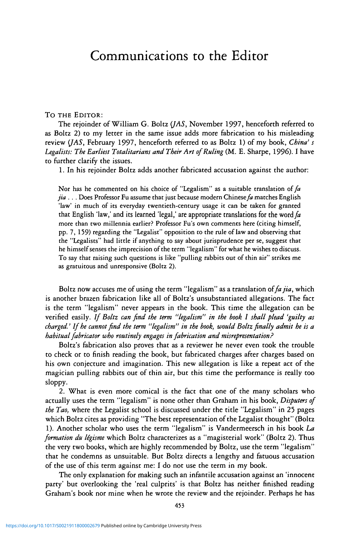## Communications to the Editor

## To THE EDITOR:

The rejoinder of William G. Boltz *(JAS,* November 1997, henceforth referred to as Boltz 2) to my letter in the same issue adds more fabrication to his misleading review *(JAS,* February 1997, henceforth referred to as Boltz 1) of my book, *China' s* Legalists: The Earliest Totalitarians and Their Art of Ruling (M. E. Sharpe, 1996). I have to further clarify the issues.

1. In his rejoinder Boltz adds another fabricated accusation against the author:

Nor has he commented on his choice of "Legalism" as a suitable translation of *fa jia ...* Does Professor Fu assume that just because modern Chinese fa matches English 'law' in much of its everyday twentieth-century usage it can be taken for granted that English 'law,' and its learned 'legal,' are appropriate translations for the *word fa* more than two millennia earlier? Professor Fu's own comments here (citing himself, pp. 7, 159) regarding the "Legalist" opposition to the rule of law and observing that the "Legalists" had little if anything to say about jurisprudence per se, suggest that he himself senses the imprecision of the term "legalism" for what he wishes to discuss. To say that raising such questions is like "pulling rabbits out of thin air" strikes me as gratuitous and unresponsive (Boltz 2).

Boltz now accuses me of using the term "legalism" as a translation of *fa jia,* which is another brazen fabrication like all of Boltz's unsubstantiated allegations. The fact is the term "legalism" never appears in the book. This time the allegation can be verified easily. If Boltz can find the term "legalism" in the book I shall plead 'guilty as *charged.' If he cannot find the term "legalism" in the book, would Boltz finally admit he is a habitual fabricator who routinely engages in fabrication and misrepresentation?*

Boltz's fabrication also proves that as a reviewer he never even took the trouble to check or to finish reading the book, but fabricated charges after charges based on his own conjecture and imagination. This new allegation is like a repeat act of the magician pulling rabbits out of thin air, but this time the performance is really too sloppy.

2. What is even more comical is the fact that one of the many scholars who actually uses the term "legalism" is none other than Graham in his book, *Disputers of the Tao,* where the Legalist school is discussed under the title "Legalism" in 25 pages which Boltz cites as providing "The best representation of the Legalist thought" (Boltz 1). Another scholar who uses the term "legalism" is Vandermeersch in his book *La formation du Ugisme* which Boltz characterizes as a "magisterial work" (Boltz 2). Thus the very two books, which are highly recommended by Boltz, use the term "legalism" that he condemns as unsuitable. But Boltz directs a lengthy and fatuous accusation of the use of this term against me: I do not use the term in my book.

The only explanation for making such an infantile accusation against an 'innocent party' but overlooking the 'real culprits' is that Boltz has neither finished reading Graham's book nor mine when he wrote the review and the rejoinder. Perhaps he has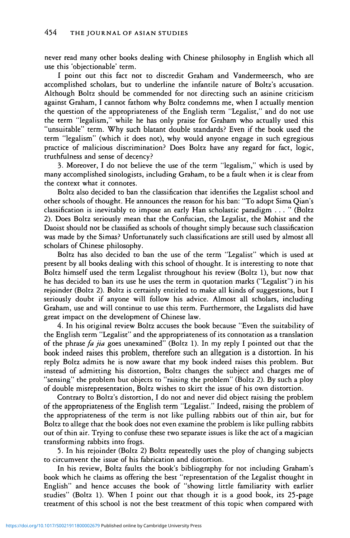never read many other books dealing with Chinese philosophy in English which all use this 'objectionable' term.

I point out this fact not to discredit Graham and Vandermeersch, who are accomplished scholars, but to underline the infantile nature of Boltz's accusation. Although Boltz should be commended for not directing such an asinine criticism against Graham, I cannot fathom why Boltz condemns me, when I actually mention the question of the appropriateness of the English term "Legalist," and do not use the term "legalism," while he has only praise for Graham who actually used this "unsuitable" term. Why such blatant double standards? Even if the book used the term "legalism" (which it does not), why would anyone engage in such egregious practice of malicious discrimination? Does Boltz have any regard for fact, logic, truthfulness and sense of decency?

3. Moreover, I do not believe the use of the term "legalism," which is used by many accomplished sinologists, including Graham, to be a fault when it is clear from the context what it connotes.

Boltz also decided to ban the classification that identifies the Legalist school and other schools of thought. He announces the reason for his ban: "To adopt Sima Qian's classification is inevitably to impose an early Han scholastic paradigm ... " (Boltz *2).* Does Boltz seriously mean that the Confucian, the Legalist, the Mohist and the Daoist should not be classified as schools of thought simply because such classification was made by the Simas? Unfortunately such classifications are still used by almost all scholars of Chinese philosophy.

Boltz has also decided to ban the use of the term "Legalist" which is used at present by all books dealing with this school of thought. It is interesting to note that Boltz himself used the term Legalist throughout his review (Boltz 1), but now that he has decided to ban its use he uses the term in quotation marks ("Legalist") in his rejoinder (Boltz 2). Boltz is certainly entitled to make all kinds of suggestions, but I seriously doubt if anyone will follow his advice. Almost all scholars, including Graham, use and will continue to use this term. Furthermore, the Legalists did have great impact on the development of Chinese law.

4. In his original review Boltz accuses the book because "Even the suitability of the English term "Legalist" and the appropriateness of its connotation as a translation of the phrase *fa jia* goes unexamined" (Boltz 1). In my reply I pointed out that the book indeed raises this problem, therefore such an allegation is a distortion. In his reply Boltz admits he is now aware that my book indeed raises this problem. But instead of admitting his distortion, Boltz changes the subject and charges me of "sensing" the problem but objects to "raising the problem" (Boltz 2). By such a ploy of double misrepresentation, Boltz wishes to skirt the issue of his own distortion.

Contrary to Boltz's distortion, I do not and never did object raising the problem of the appropriateness of the English term "Legalist." Indeed, raising the problem of the appropriateness of the term is not like pulling rabbits out of thin air, but for Boltz to allege that the book does not even examine the problem is like pulling rabbits out of thin air. Trying to confuse these two separate issues is like the act of a magician transforming rabbits into frogs.

5. In his rejoinder (Boltz 2) Boltz repeatedly uses the ploy of changing subjects to circumvent the issue of his fabrication and distortion.

In his review, Boltz faults the book's bibliography for not including Graham's book which he claims as offering the best "representation of the Legalist thought in English" and hence accuses the book of "showing little familiarity with earlier studies" (Boltz 1). When I point out that though it is a good book, its 25-page treatment of this school is not the best treatment of this topic when compared with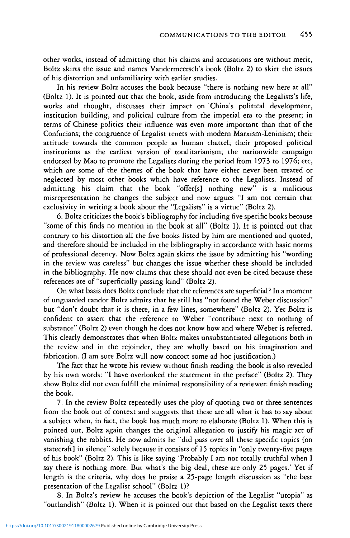other works, instead of admitting that his claims and accusations are without merit, Boltz skirts the issue and names Vandermeersch's book (Boltz 2) to skirt the issues of his distortion and unfamiliarity with earlier studies.

In his review Boltz accuses the book because "there is nothing new here at all" (Boltz 1). It is pointed out that the book, aside from introducing the Legalists's life, works and thought, discusses their impact on China's political development, institution building, and political culture from the imperial era to the present; in terms of Chinese politics their influence was even more important than that of the Confucians; the congruence of Legalist tenets with modern Marxism-Leninism; their attitude towards the common people as human chattel; their proposed political institutions as the earliest version of totalitarianism; the nationwide campaign endorsed by Mao to promote the Legalists during the period from 1973 to 1976; etc, which are some of the themes of the book that have either never been treated or neglected by most other books which have reference to the Legalists. Instead of admitting his claim that the book "offer[s] nothing new" is a malicious misrepresentation he changes the subject and now argues "I am not certain that exclusivity in writing a book about the "Legalists" is a virtue" (Boltz 2).

6. Boltz criticizes the book's bibliography for including five specific books because "some of this finds no mention in the book at all" (Boltz 1). It is pointed out that contrary to his distortion all the five books listed by him are mentioned and quoted, and therefore should be included in the bibliography in accordance with basic norms of professional decency. Now Boltz again skirts the issue by admitting his "wording in the review was careless" but changes the issue whether these should be included in the bibliography. He now claims that these should not even be cited because these references are of "superficially passing kind" (Boltz 2).

On what basis does Boltz conclude that the references are superficial? In a moment of unguarded candor Boltz admits that he still has "not found the Weber discussion" but "don't doubt that it is there, in a few lines, somewhere" (Boltz 2). Yet Boltz is confident to assert that the reference to Weber "contribute next to nothing of substance" (Boltz 2) even though he does not know how and where Weber is referred. This clearly demonstrates that when Boltz makes unsubstantiated allegations both in the review and in the rejoinder, they are wholly based on his imagination and fabrication. (I am sure Boltz will now concoct some ad hoc justification.)

The fact that he wrote his review without finish reading the book is also revealed by his own words: "I have overlooked the statement in the preface" (Boltz 2). They show Boltz did not even fulfill the minimal responsibility of a reviewer: finish reading the book.

7. In the review Boltz repeatedly uses the ploy of quoting two or three sentences from the book out of context and suggests that these are all what it has to say about a subject when, in fact, the book has much more to elaborate (Boltz 1). When this is pointed out, Boltz again changes the original allegation to justify his magic act of vanishing the rabbits. He now admits he "did pass over all these specific topics [on statecraft] in silence" solely because it consists of 15 topics in "only twenty-five pages of his book" (Boltz 2). This is like saying 'Probably I am not totally truthful when I say there is nothing more. But what's the big deal, these are only 25 pages.' Yet if length is the criteria, why does he praise a 25-page length discussion as "the best presentation of the Legalist school" (Boltz 1)?

8. In Boltz's review he accuses the book's depiction of the Legalist "utopia" as "outlandish" (Boltz 1). When it is pointed out that based on the Legalist texts there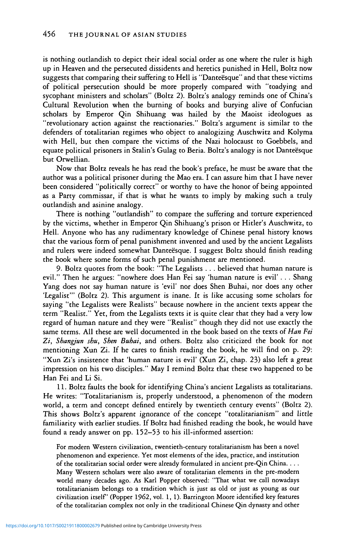is nothing outlandish to depict their ideal social order as one where the ruler is high up in Heaven and the persecuted dissidents and heretics punished in Hell, Boltz now suggests that comparing their suffering to Hell is "Danteësque" and that these victims of political persecution should be more properly compared with "toadying and sycophant ministers and scholars" (Boltz 2). Boltz's analogy reminds one of China's Cultural Revolution when the burning of books and burying alive of Confucian scholars by Emperor Qin Shihuang was hailed by the Maoist ideologues as "revolutionary action against the reactionaries." Boltz's argument is similar to the defenders of totalitarian regimes who object to analogizing Auschwitz and Kolyma with Hell, but then compare the victims of the Nazi holocaust to Goebbels, and equate political prisoners in Stalin's Gulag to Beria. Boltz's analogy is not Danteesque but Orwellian.

Now that Boltz reveals he has read the book's preface, he must be aware that the author was a political prisoner during the Mao era. I can assure him that I have never been considered "politically correct" or worthy to have the honor of being appointed as a Party commissar, if that is what he wants to imply by making such a truly outlandish and asinine analogy.

There is nothing "outlandish" to compare the suffering and torture experienced by the victims, whether in Emperor Qin Shihuang's prison or Hitler's Auschwitz, to Hell. Anyone who has any rudimentary knowledge of Chinese penal history knows that the various form of penal punishment invented and used by the ancient Legalists and rulers were indeed somewhat Danteësque. I suggest Boltz should finish reading the book where some forms of such penal punishment are mentioned.

9. Boltz quotes from the book: "The Legalists . . . believed that human nature is evil." Then he argues: "nowhere does Han Fei say 'human nature is evil' . . . Shang Yang does not say human nature is 'evil' nor does Shen Buhai, nor does any other 'Legalist'" (Boltz 2). This argument is inane. It is like accusing some scholars for saying "the Legalists were Realists" because nowhere in the ancient texts appear the term "Realist." Yet, from the Legalists texts it is quite clear that they had a very low regard of human nature and they were "Realist" though they did not use exactly the same terms. All these are well documented in the book based on the texts *of Han Fei Zi, Shangjun shu, Shen Buhai,* and others. Boltz also criticized the book for not mentioning Xun Zi. If he cares to finish reading the book, he will find on p. 29: "Xun Zi's insistence that 'human nature is evil' (Xun Zi, chap. 23) also left a great impression on his two disciples." May I remind Boltz that these two happened to be Han Fei and Li Si.

11. Boltz faults the book for identifying China's ancient Legalists as totalitarians. He writes: "Totalitarianism is, properly understood, a phenomenon of the modern world, a term and concept defined entirely by twentieth century events" (Boltz 2). This shows Boltz's apparent ignorance of the concept "totalitarianism" and little familiarity with earlier studies. If Boltz had finished reading the book, he would have found a ready answer on pp. 152-53 to his ill-informed assertion:

For modern Western civilization, twentieth-century totalitarianism has been a novel phenomenon and experience. Yet most elements of the idea, practice, and institution of the totalitarian social order were already formulated in ancient pre-Qin China. . . . Many Western scholars were also aware of totalitarian elements in the pre-modern world many decades ago. As Karl Popper observed: "That what we call nowadays totalitarianism belongs to a tradition which is just as old or just as young as our civilization itself (Popper 1962, vol. 1, 1). Barrington Moore identified key features of the totalitarian complex not only in the traditional Chinese Qin dynasty and other